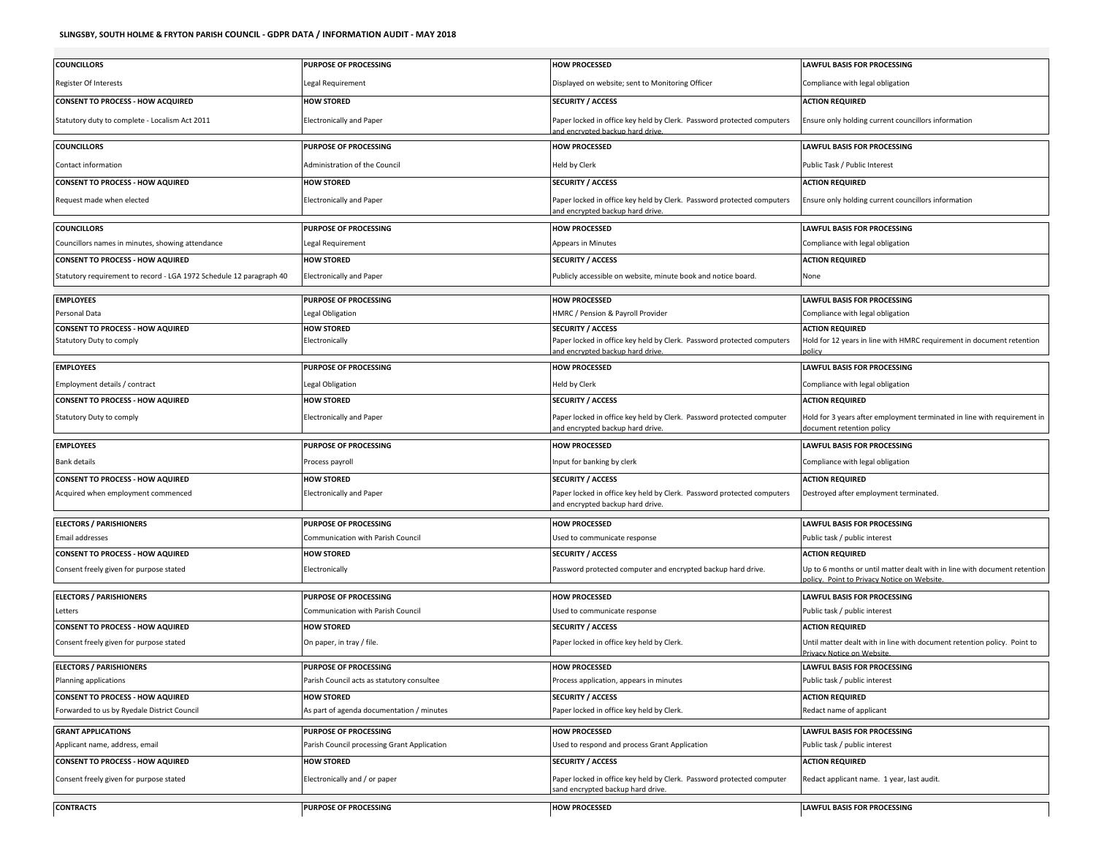| <b>COUNCILLORS</b>                                                  | <b>PURPOSE OF PROCESSING</b>                | <b>HOW PROCESSED</b>                                                                                       | <b>LAWFUL BASIS FOR PROCESSING</b>                                                                                      |
|---------------------------------------------------------------------|---------------------------------------------|------------------------------------------------------------------------------------------------------------|-------------------------------------------------------------------------------------------------------------------------|
| Register Of Interests                                               | Legal Requirement                           | Displayed on website; sent to Monitoring Officer                                                           | Compliance with legal obligation                                                                                        |
| <b>CONSENT TO PROCESS - HOW ACQUIRED</b>                            | <b>HOW STORED</b>                           | <b>SECURITY / ACCESS</b>                                                                                   | <b>ACTION REQUIRED</b>                                                                                                  |
| Statutory duty to complete - Localism Act 2011                      | <b>Electronically and Paper</b>             | Paper locked in office key held by Clerk. Password protected computers<br>nd encrypted backup hard drive.  | Ensure only holding current councillors information                                                                     |
| <b>COUNCILLORS</b>                                                  | <b>PURPOSE OF PROCESSING</b>                | <b>HOW PROCESSED</b>                                                                                       | <b>LAWFUL BASIS FOR PROCESSING</b>                                                                                      |
| Contact information                                                 | Administration of the Council               | Held by Clerk                                                                                              | Public Task / Public Interest                                                                                           |
| <b>CONSENT TO PROCESS - HOW AQUIRED</b>                             | <b>HOW STORED</b>                           | <b>SECURITY / ACCESS</b>                                                                                   | <b>ACTION REQUIRED</b>                                                                                                  |
| Request made when elected                                           | <b>Electronically and Paper</b>             | Paper locked in office key held by Clerk. Password protected computers<br>and encrypted backup hard drive. | Ensure only holding current councillors information                                                                     |
| <b>COUNCILLORS</b>                                                  | <b>PURPOSE OF PROCESSING</b>                | <b>HOW PROCESSED</b>                                                                                       | <b>LAWFUL BASIS FOR PROCESSING</b>                                                                                      |
| Councillors names in minutes, showing attendance                    | egal Requirement                            | <b>Appears in Minutes</b>                                                                                  | Compliance with legal obligation                                                                                        |
| <b>CONSENT TO PROCESS - HOW AQUIRED</b>                             | <b>HOW STORED</b>                           | <b>SECURITY / ACCESS</b>                                                                                   | <b>ACTION REQUIRED</b>                                                                                                  |
| Statutory requirement to record - LGA 1972 Schedule 12 paragraph 40 | <b>Electronically and Paper</b>             | Publicly accessible on website, minute book and notice board.                                              | None                                                                                                                    |
| <b>EMPLOYEES</b>                                                    | <b>PURPOSE OF PROCESSING</b>                | <b>HOW PROCESSED</b>                                                                                       | <b>LAWFUL BASIS FOR PROCESSING</b>                                                                                      |
| Personal Data                                                       | Legal Obligation                            | HMRC / Pension & Payroll Provider                                                                          | Compliance with legal obligation                                                                                        |
| <b>CONSENT TO PROCESS - HOW AQUIRED</b>                             | <b>HOW STORED</b>                           | <b>SECURITY / ACCESS</b>                                                                                   | <b>ACTION REQUIRED</b>                                                                                                  |
| Statutory Duty to comply                                            | Electronically                              | Paper locked in office key held by Clerk. Password protected computers<br>and encrypted backup hard drive. | Hold for 12 years in line with HMRC requirement in document retention<br>olicy                                          |
| <b>EMPLOYEES</b>                                                    | <b>PURPOSE OF PROCESSING</b>                | <b>HOW PROCESSED</b>                                                                                       | <b>LAWFUL BASIS FOR PROCESSING</b>                                                                                      |
| Employment details / contract                                       | Legal Obligation                            | Held by Clerk                                                                                              | Compliance with legal obligation                                                                                        |
| <b>CONSENT TO PROCESS - HOW AQUIRED</b>                             | <b>HOW STORED</b>                           | <b>SECURITY / ACCESS</b>                                                                                   | <b>ACTION REQUIRED</b>                                                                                                  |
| Statutory Duty to comply                                            | <b>Electronically and Paper</b>             | Paper locked in office key held by Clerk. Password protected computer<br>and encrypted backup hard drive.  | Hold for 3 years after employment terminated in line with requirement in<br>document retention policy                   |
|                                                                     |                                             |                                                                                                            |                                                                                                                         |
| <b>EMPLOYEES</b>                                                    | <b>PURPOSE OF PROCESSING</b>                | <b>HOW PROCESSED</b>                                                                                       | <b>LAWFUL BASIS FOR PROCESSING</b>                                                                                      |
| <b>Bank details</b>                                                 | Process payroll                             | Input for banking by clerk                                                                                 | Compliance with legal obligation                                                                                        |
| <b>CONSENT TO PROCESS - HOW AQUIRED</b>                             | <b>HOW STORED</b>                           | <b>SECURITY / ACCESS</b>                                                                                   | <b>ACTION REQUIRED</b>                                                                                                  |
| Acquired when employment commenced                                  | <b>Electronically and Paper</b>             | Paper locked in office key held by Clerk. Password protected computers<br>and encrypted backup hard drive. | Destroyed after employment terminated.                                                                                  |
|                                                                     | <b>PURPOSE OF PROCESSING</b>                | <b>HOW PROCESSED</b>                                                                                       | <b>LAWFUL BASIS FOR PROCESSING</b>                                                                                      |
| <b>ELECTORS / PARISHIONERS</b><br><b>Email addresses</b>            | Communication with Parish Council           | Used to communicate response                                                                               | Public task / public interest                                                                                           |
| <b>CONSENT TO PROCESS - HOW AQUIRED</b>                             | <b>HOW STORED</b>                           | <b>SECURITY / ACCESS</b>                                                                                   | <b>ACTION REQUIRED</b>                                                                                                  |
| Consent freely given for purpose stated                             | Electronically                              | Password protected computer and encrypted backup hard drive.                                               | Up to 6 months or until matter dealt with in line with document retention<br>policy. Point to Privacy Notice on Website |
|                                                                     | <b>PURPOSE OF PROCESSING</b>                | <b>HOW PROCESSED</b>                                                                                       | <b>LAWFUL BASIS FOR PROCESSING</b>                                                                                      |
| <b>ELECTORS / PARISHIONERS</b><br>Letters                           | Communication with Parish Council           | Used to communicate response                                                                               | Public task / public interest                                                                                           |
| <b>CONSENT TO PROCESS - HOW AQUIRED</b>                             | <b>HOW STORED</b>                           | <b>SECURITY / ACCESS</b>                                                                                   | <b>ACTION REQUIRED</b>                                                                                                  |
| Consent freely given for purpose stated                             | On paper, in tray / file.                   | Paper locked in office key held by Clerk.                                                                  | Until matter dealt with in line with document retention policy. Point to<br>rivacy Notice on Website                    |
| <b>ELECTORS / PARISHIONERS</b>                                      | <b>PURPOSE OF PROCESSING</b>                | <b>HOW PROCESSED</b>                                                                                       | <b>LAWFUL BASIS FOR PROCESSING</b>                                                                                      |
| Planning applications                                               | Parish Council acts as statutory consultee  | Process application, appears in minutes                                                                    | Public task / public interest                                                                                           |
| <b>CONSENT TO PROCESS - HOW AQUIRED</b>                             | <b>HOW STORED</b>                           | <b>SECURITY / ACCESS</b>                                                                                   | <b>ACTION REQUIRED</b>                                                                                                  |
| Forwarded to us by Ryedale District Council                         | As part of agenda documentation / minutes   | Paper locked in office key held by Clerk.                                                                  | Redact name of applicant                                                                                                |
| <b>GRANT APPLICATIONS</b>                                           | <b>PURPOSE OF PROCESSING</b>                | <b>HOW PROCESSED</b>                                                                                       | <b>LAWFUL BASIS FOR PROCESSING</b>                                                                                      |
| Applicant name, address, email                                      | Parish Council processing Grant Application | Used to respond and process Grant Application                                                              | Public task / public interest                                                                                           |
| <b>CONSENT TO PROCESS - HOW AQUIRED</b>                             | <b>HOW STORED</b>                           | <b>SECURITY / ACCESS</b>                                                                                   | <b>ACTION REQUIRED</b>                                                                                                  |
| Consent freely given for purpose stated                             | Electronically and / or paper               | Paper locked in office key held by Clerk. Password protected computer<br>sand encrypted backup hard drive. | Redact applicant name. 1 year, last audit.                                                                              |